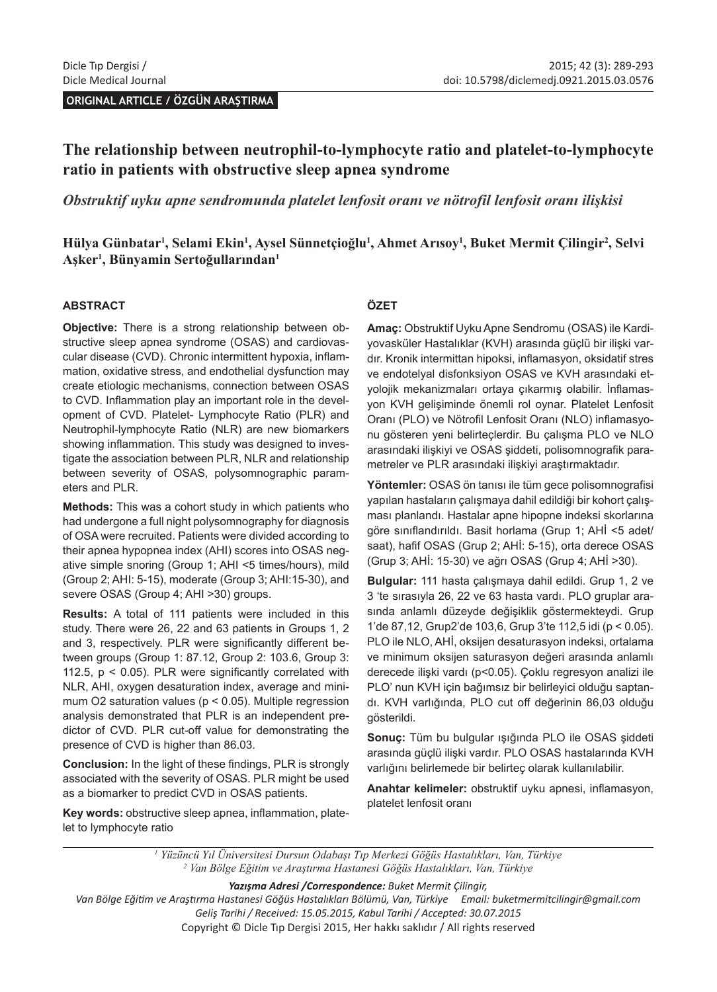**ORIGINAL ARTICLE / ÖZGÜN ARAŞTIRMA** 

# **The relationship between neutrophil-to-lymphocyte ratio and platelet-to-lymphocyte ratio in patients with obstructive sleep apnea syndrome**

*Obstruktif uyku apne sendromunda platelet lenfosit oranı ve nötrofil lenfosit oranı ilişkisi*

**Hülya Günbatar1 , Selami Ekin<sup>1</sup> , Aysel Sünnetçioğlu<sup>1</sup> , Ahmet Arısoy<sup>1</sup> , Buket Mermit Çilingir<sup>2</sup> , Selvi Aşker<sup>1</sup> , Bünyamin Sertoğullarından<sup>1</sup>**

#### **ABSTRACT**

**Objective:** There is a strong relationship between obstructive sleep apnea syndrome (OSAS) and cardiovascular disease (CVD). Chronic intermittent hypoxia, inflammation, oxidative stress, and endothelial dysfunction may create etiologic mechanisms, connection between OSAS to CVD. Inflammation play an important role in the development of CVD. Platelet- Lymphocyte Ratio (PLR) and Neutrophil-lymphocyte Ratio (NLR) are new biomarkers showing inflammation. This study was designed to investigate the association between PLR, NLR and relationship between severity of OSAS, polysomnographic parameters and PLR.

**Methods:** This was a cohort study in which patients who had undergone a full night polysomnography for diagnosis of OSA were recruited. Patients were divided according to their apnea hypopnea index (AHI) scores into OSAS negative simple snoring (Group 1; AHI <5 times/hours), mild (Group 2; AHI: 5-15), moderate (Group 3; AHI:15-30), and severe OSAS (Group 4; AHI >30) groups.

**Results:** A total of 111 patients were included in this study. There were 26, 22 and 63 patients in Groups 1, 2 and 3, respectively. PLR were significantly different between groups (Group 1: 87.12, Group 2: 103.6, Group 3: 112.5,  $p < 0.05$ ). PLR were significantly correlated with NLR, AHI, oxygen desaturation index, average and minimum O2 saturation values ( $p < 0.05$ ). Multiple regression analysis demonstrated that PLR is an independent predictor of CVD. PLR cut-off value for demonstrating the presence of CVD is higher than 86.03.

**Conclusion:** In the light of these findings, PLR is strongly associated with the severity of OSAS. PLR might be used as a biomarker to predict CVD in OSAS patients.

**Key words:** obstructive sleep apnea, inflammation, platelet to lymphocyte ratio

#### **ÖZET**

**Amaç:** Obstruktif Uyku Apne Sendromu (OSAS) ile Kardiyovasküler Hastalıklar (KVH) arasında güçlü bir ilişki vardır. Kronik intermittan hipoksi, inflamasyon, oksidatif stres ve endotelyal disfonksiyon OSAS ve KVH arasındaki etyolojik mekanizmaları ortaya çıkarmış olabilir. İnflamasyon KVH gelişiminde önemli rol oynar. Platelet Lenfosit Oranı (PLO) ve Nötrofil Lenfosit Oranı (NLO) inflamasyonu gösteren yeni belirteçlerdir. Bu çalışma PLO ve NLO arasındaki ilişkiyi ve OSAS şiddeti, polisomnografik parametreler ve PLR arasındaki ilişkiyi araştırmaktadır.

**Yöntemler:** OSAS ön tanısı ile tüm gece polisomnografisi yapılan hastaların çalışmaya dahil edildiği bir kohort çalışması planlandı. Hastalar apne hipopne indeksi skorlarına göre sınıflandırıldı. Basit horlama (Grup 1; AHİ <5 adet/ saat), hafif OSAS (Grup 2; AHİ: 5-15), orta derece OSAS (Grup 3; AHİ: 15-30) ve ağrı OSAS (Grup 4; AHİ >30).

**Bulgular:** 111 hasta çalışmaya dahil edildi. Grup 1, 2 ve 3 'te sırasıyla 26, 22 ve 63 hasta vardı. PLO gruplar arasında anlamlı düzeyde değişiklik göstermekteydi. Grup 1'de 87,12, Grup2'de 103,6, Grup 3'te 112,5 idi (p < 0.05). PLO ile NLO, AHİ, oksijen desaturasyon indeksi, ortalama ve minimum oksijen saturasyon değeri arasında anlamlı derecede ilişki vardı (p<0.05). Çoklu regresyon analizi ile PLO' nun KVH için bağımsız bir belirleyici olduğu saptandı. KVH varlığında, PLO cut off değerinin 86,03 olduğu gösterildi.

**Sonuç:** Tüm bu bulgular ışığında PLO ile OSAS şiddeti arasında güçlü ilişki vardır. PLO OSAS hastalarında KVH varlığını belirlemede bir belirteç olarak kullanılabilir.

**Anahtar kelimeler:** obstruktif uyku apnesi, inflamasyon, platelet lenfosit oranı

*1 Yüzüncü Yıl Üniversitesi Dursun Odabaşı Tıp Merkezi Göğüs Hastalıkları, Van, Türkiye 2 Van Bölge Eğitim ve Araştırma Hastanesi Göğüs Hastalıkları, Van, Türkiye*

*Yazışma Adresi /Correspondence: Buket Mermit Çilingir,* 

*Van Bölge Eğitim ve Araştırma Hastanesi Göğüs Hastalıkları Bölümü, Van, Türkiye Email: buketmermitcilingir@gmail.com Geliş Tarihi / Received: 15.05.2015, Kabul Tarihi / Accepted: 30.07.2015* Copyright © Dicle Tıp Dergisi 2015, Her hakkı saklıdır / All rights reserved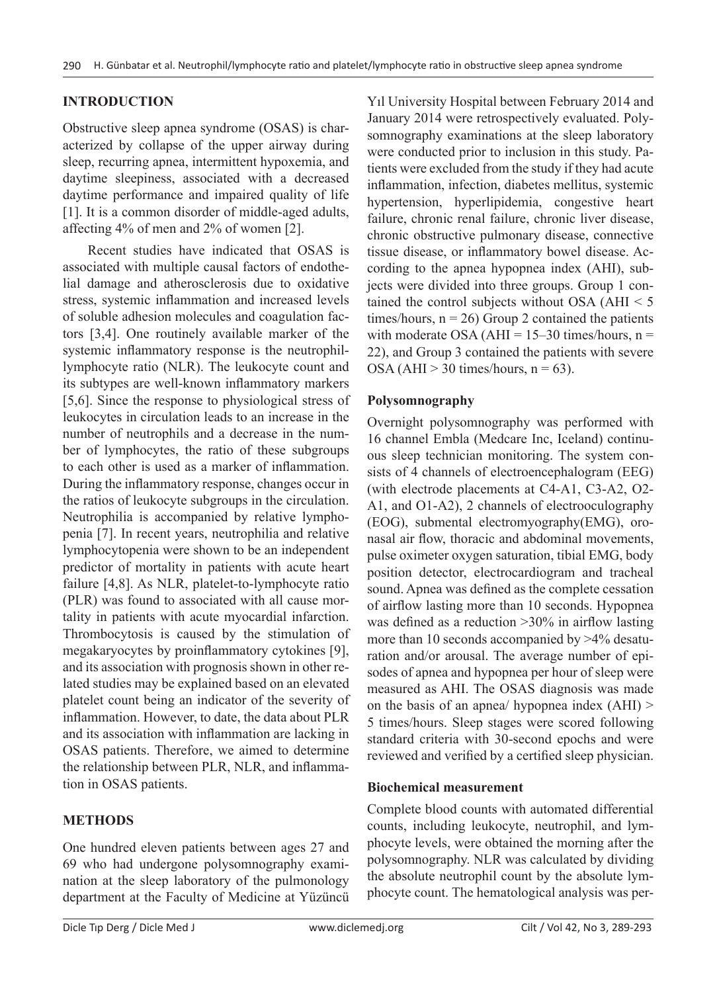## **INTRODUCTION**

Obstructive sleep apnea syndrome (OSAS) is characterized by collapse of the upper airway during sleep, recurring apnea, intermittent hypoxemia, and daytime sleepiness, associated with a decreased daytime performance and impaired quality of life [1]. It is a common disorder of middle-aged adults, affecting 4% of men and 2% of women [2].

Recent studies have indicated that OSAS is associated with multiple causal factors of endothelial damage and atherosclerosis due to oxidative stress, systemic inflammation and increased levels of soluble adhesion molecules and coagulation factors [3,4]. One routinely available marker of the systemic inflammatory response is the neutrophillymphocyte ratio (NLR). The leukocyte count and its subtypes are well-known inflammatory markers [5,6]. Since the response to physiological stress of leukocytes in circulation leads to an increase in the number of neutrophils and a decrease in the number of lymphocytes, the ratio of these subgroups to each other is used as a marker of inflammation. During the inflammatory response, changes occur in the ratios of leukocyte subgroups in the circulation. Neutrophilia is accompanied by relative lymphopenia [7]. In recent years, neutrophilia and relative lymphocytopenia were shown to be an independent predictor of mortality in patients with acute heart failure [4,8]. As NLR, platelet-to-lymphocyte ratio (PLR) was found to associated with all cause mortality in patients with acute myocardial infarction. Thrombocytosis is caused by the stimulation of megakaryocytes by proinflammatory cytokines [9], and its association with prognosis shown in other related studies may be explained based on an elevated platelet count being an indicator of the severity of inflammation. However, to date, the data about PLR and its association with inflammation are lacking in OSAS patients. Therefore, we aimed to determine the relationship between PLR, NLR, and inflammation in OSAS patients.

## **METHODS**

One hundred eleven patients between ages 27 and 69 who had undergone polysomnography examination at the sleep laboratory of the pulmonology department at the Faculty of Medicine at Yüzüncü

Yıl University Hospital between February 2014 and January 2014 were retrospectively evaluated. Polysomnography examinations at the sleep laboratory were conducted prior to inclusion in this study. Patients were excluded from the study if they had acute inflammation, infection, diabetes mellitus, systemic hypertension, hyperlipidemia, congestive heart failure, chronic renal failure, chronic liver disease, chronic obstructive pulmonary disease, connective tissue disease, or inflammatory bowel disease. According to the apnea hypopnea index (AHI), subjects were divided into three groups. Group 1 contained the control subjects without OSA ( $AHI < 5$ ) times/hours,  $n = 26$ ) Group 2 contained the patients with moderate OSA ( $AHI = 15-30$  times/hours,  $n =$ 22), and Group 3 contained the patients with severe OSA (AHI  $>$  30 times/hours, n = 63).

## **Polysomnography**

Overnight polysomnography was performed with 16 channel Embla (Medcare Inc, Iceland) continuous sleep technician monitoring. The system consists of 4 channels of electroencephalogram (EEG) (with electrode placements at C4-A1, C3-A2, O2- A1, and O1-A2), 2 channels of electrooculography (EOG), submental electromyography(EMG), oronasal air flow, thoracic and abdominal movements, pulse oximeter oxygen saturation, tibial EMG, body position detector, electrocardiogram and tracheal sound. Apnea was defined as the complete cessation of airflow lasting more than 10 seconds. Hypopnea was defined as a reduction >30% in airflow lasting more than 10 seconds accompanied by >4% desaturation and/or arousal. The average number of episodes of apnea and hypopnea per hour of sleep were measured as AHI. The OSAS diagnosis was made on the basis of an apnea/ hypopnea index (AHI) > 5 times/hours. Sleep stages were scored following standard criteria with 30-second epochs and were reviewed and verified by a certified sleep physician.

#### **Biochemical measurement**

Complete blood counts with automated differential counts, including leukocyte, neutrophil, and lymphocyte levels, were obtained the morning after the polysomnography. NLR was calculated by dividing the absolute neutrophil count by the absolute lymphocyte count. The hematological analysis was per-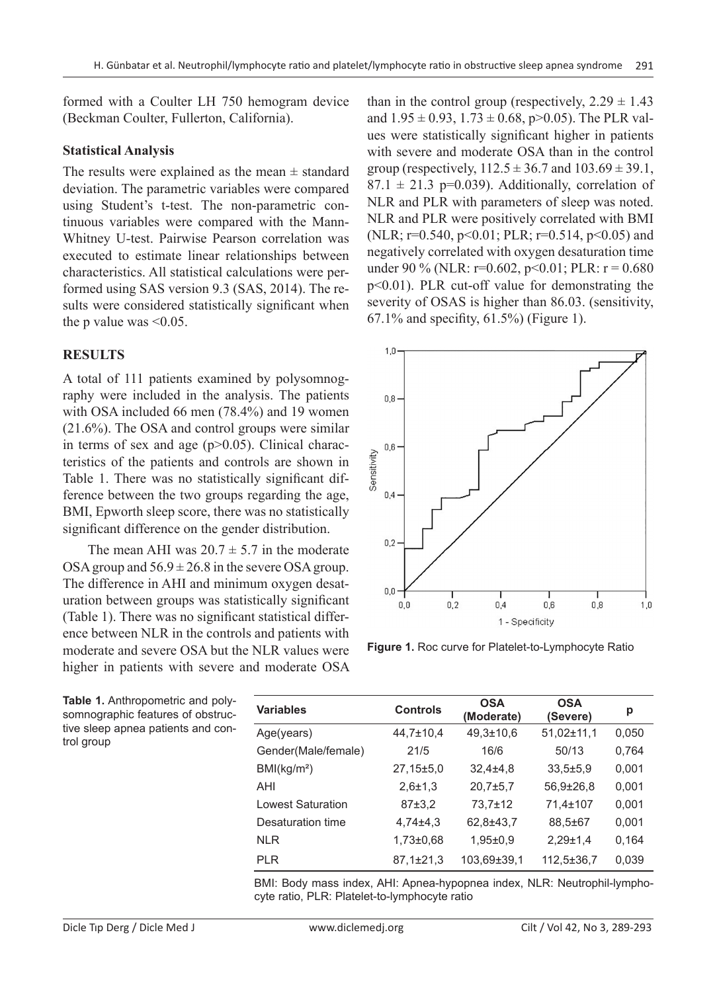formed with a Coulter LH 750 hemogram device (Beckman Coulter, Fullerton, California).

### **Statistical Analysis**

The results were explained as the mean  $\pm$  standard deviation. The parametric variables were compared using Student's t-test. The non-parametric continuous variables were compared with the Mann-Whitney U-test. Pairwise Pearson correlation was executed to estimate linear relationships between characteristics. All statistical calculations were performed using SAS version 9.3 (SAS, 2014). The results were considered statistically significant when the p value was  $\leq 0.05$ .

## **RESULTS**

A total of 111 patients examined by polysomnography were included in the analysis. The patients with OSA included 66 men (78.4%) and 19 women (21.6%). The OSA and control groups were similar in terms of sex and age  $(p>0.05)$ . Clinical characteristics of the patients and controls are shown in Table 1. There was no statistically significant difference between the two groups regarding the age, BMI, Epworth sleep score, there was no statistically significant difference on the gender distribution.

The mean AHI was  $20.7 \pm 5.7$  in the moderate OSA group and  $56.9 \pm 26.8$  in the severe OSA group. The difference in AHI and minimum oxygen desaturation between groups was statistically significant (Table 1). There was no significant statistical difference between NLR in the controls and patients with moderate and severe OSA but the NLR values were higher in patients with severe and moderate OSA than in the control group (respectively,  $2.29 \pm 1.43$ ) and  $1.95 \pm 0.93$ ,  $1.73 \pm 0.68$ , p $> 0.05$ ). The PLR values were statistically significant higher in patients with severe and moderate OSA than in the control group (respectively,  $112.5 \pm 36.7$  and  $103.69 \pm 39.1$ ,  $87.1 \pm 21.3$  p=0.039). Additionally, correlation of NLR and PLR with parameters of sleep was noted. NLR and PLR were positively correlated with BMI (NLR; r=0.540, p<0.01; PLR; r=0.514, p<0.05) and negatively correlated with oxygen desaturation time under 90 % (NLR:  $r=0.602$ ,  $p<0.01$ ; PLR:  $r=0.680$ p<0.01). PLR cut-off value for demonstrating the severity of OSAS is higher than 86.03. (sensitivity, 67.1% and specifity, 61.5%) (Figure 1).



**Figure 1.** Roc curve for Platelet-to-Lymphocyte Ratio

| <b>Variables</b>         | <b>Controls</b> | <b>OSA</b><br>(Moderate) | <b>OSA</b><br>(Severe) | р     |
|--------------------------|-----------------|--------------------------|------------------------|-------|
| Age(years)               | 44,7±10,4       | $49,3 \pm 10,6$          | $51,02\pm 11,1$        | 0,050 |
| Gender(Male/female)      | 21/5            | 16/6                     | 50/13                  | 0,764 |
| BMl(kg/m <sup>2</sup> )  | $27.15 \pm 5.0$ | $32,4+4,8$               | $33.5 \pm 5.9$         | 0,001 |
| AHI                      | $2,6 \pm 1,3$   | $20.7 \pm 5.7$           | $56.9 \pm 26.8$        | 0,001 |
| <b>Lowest Saturation</b> | 87±3.2          | 73,7±12                  | 71,4±107               | 0,001 |
| Desaturation time        | $4,74\pm4,3$    | 62,8±43,7                | 88,5±67                | 0,001 |
| <b>NLR</b>               | $1,73\pm0.68$   | $1,95 \pm 0.9$           | $2,29\pm1,4$           | 0.164 |
| <b>PLR</b>               | $87.1 \pm 21.3$ | 103,69±39,1              | 112,5±36,7             | 0.039 |

BMI: Body mass index, AHI: Apnea-hypopnea index, NLR: Neutrophil-lymphocyte ratio, PLR: Platelet-to-lymphocyte ratio

**Table 1.** Anthropometric and polysomnographic features of obstructive sleep apnea patients and control group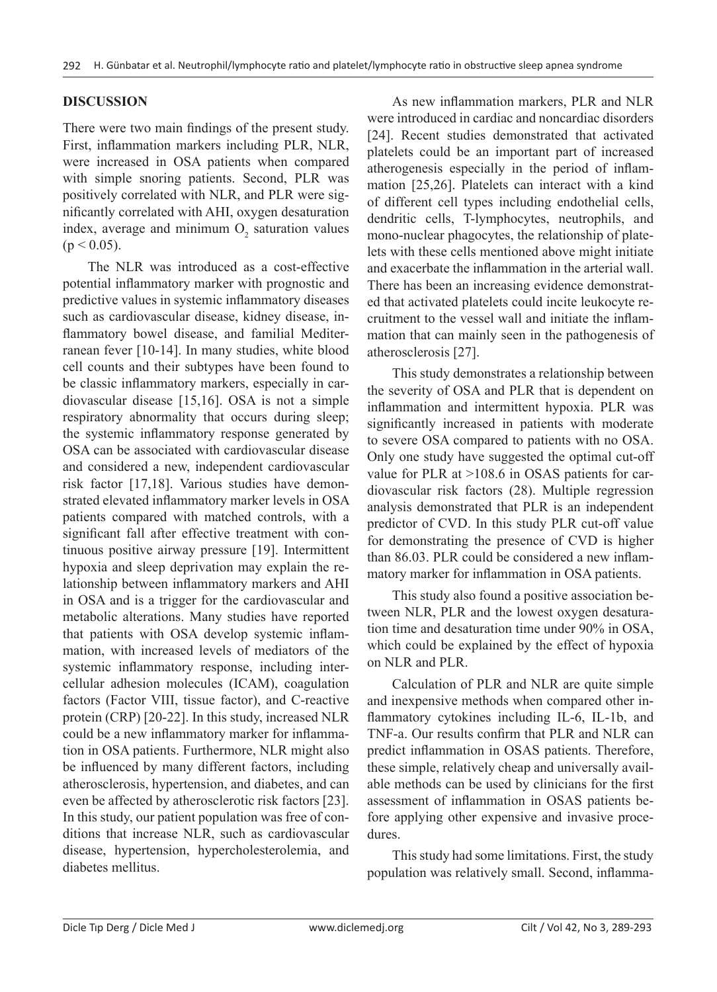### **DISCUSSION**

There were two main findings of the present study. First, inflammation markers including PLR, NLR, were increased in OSA patients when compared with simple snoring patients. Second, PLR was positively correlated with NLR, and PLR were significantly correlated with AHI, oxygen desaturation index, average and minimum  $O_2$  saturation values  $(p < 0.05)$ .

The NLR was introduced as a cost-effective potential inflammatory marker with prognostic and predictive values in systemic inflammatory diseases such as cardiovascular disease, kidney disease, inflammatory bowel disease, and familial Mediterranean fever [10-14]. In many studies, white blood cell counts and their subtypes have been found to be classic inflammatory markers, especially in cardiovascular disease [15,16]. OSA is not a simple respiratory abnormality that occurs during sleep; the systemic inflammatory response generated by OSA can be associated with cardiovascular disease and considered a new, independent cardiovascular risk factor [17,18]. Various studies have demonstrated elevated inflammatory marker levels in OSA patients compared with matched controls, with a significant fall after effective treatment with continuous positive airway pressure [19]. Intermittent hypoxia and sleep deprivation may explain the relationship between inflammatory markers and AHI in OSA and is a trigger for the cardiovascular and metabolic alterations. Many studies have reported that patients with OSA develop systemic inflammation, with increased levels of mediators of the systemic inflammatory response, including intercellular adhesion molecules (ICAM), coagulation factors (Factor VIII, tissue factor), and C-reactive protein (CRP) [20-22]. In this study, increased NLR could be a new inflammatory marker for inflammation in OSA patients. Furthermore, NLR might also be influenced by many different factors, including atherosclerosis, hypertension, and diabetes, and can even be affected by atherosclerotic risk factors [23]. In this study, our patient population was free of conditions that increase NLR, such as cardiovascular disease, hypertension, hypercholesterolemia, and diabetes mellitus.

As new inflammation markers, PLR and NLR were introduced in cardiac and noncardiac disorders [24]. Recent studies demonstrated that activated platelets could be an important part of increased atherogenesis especially in the period of inflammation [25,26]. Platelets can interact with a kind of different cell types including endothelial cells, dendritic cells, T-lymphocytes, neutrophils, and mono-nuclear phagocytes, the relationship of platelets with these cells mentioned above might initiate and exacerbate the inflammation in the arterial wall. There has been an increasing evidence demonstrated that activated platelets could incite leukocyte recruitment to the vessel wall and initiate the inflammation that can mainly seen in the pathogenesis of atherosclerosis [27].

This study demonstrates a relationship between the severity of OSA and PLR that is dependent on inflammation and intermittent hypoxia. PLR was significantly increased in patients with moderate to severe OSA compared to patients with no OSA. Only one study have suggested the optimal cut-off value for PLR at >108.6 in OSAS patients for cardiovascular risk factors (28). Multiple regression analysis demonstrated that PLR is an independent predictor of CVD. In this study PLR cut-off value for demonstrating the presence of CVD is higher than 86.03. PLR could be considered a new inflammatory marker for inflammation in OSA patients.

This study also found a positive association between NLR, PLR and the lowest oxygen desaturation time and desaturation time under 90% in OSA, which could be explained by the effect of hypoxia on NLR and PLR.

Calculation of PLR and NLR are quite simple and inexpensive methods when compared other inflammatory cytokines including IL-6, IL-1b, and TNF-a. Our results confirm that PLR and NLR can predict inflammation in OSAS patients. Therefore, these simple, relatively cheap and universally available methods can be used by clinicians for the first assessment of inflammation in OSAS patients before applying other expensive and invasive procedures.

This study had some limitations. First, the study population was relatively small. Second, inflamma